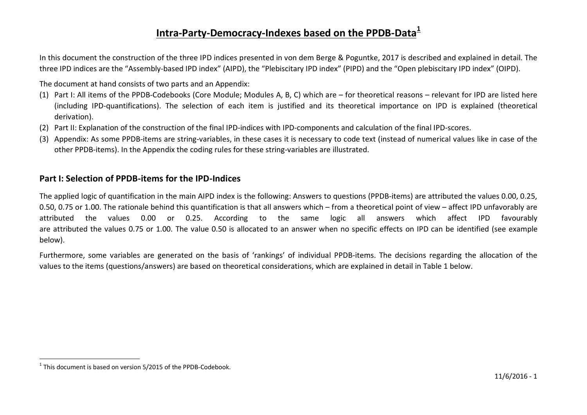## <span id="page-0-0"></span>**Intra-Party-Democracy-Indexes based on the PPDB-Data[1](#page-0-0)**

In this document the construction of the three IPD indices presented in [von dem Berge & Poguntke, 2017](#page-14-0) is described and explained in detail. The three IPD indices are the "Assembly-based IPD index" (AIPD), the "Plebiscitary IPD index" (PIPD) and the "Open plebiscitary IPD index" (OIPD).

The document at hand consists of two parts and an Appendix:

- (1) Part I: All items of the PPDB-Codebooks (Core Module; Modules A, B, C) which are for theoretical reasons relevant for IPD are listed here (including IPD-quantifications). The selection of each item is justified and its theoretical importance on IPD is explained (theoretical derivation).
- (2) Part II: Explanation of the construction of the final IPD-indices with IPD-components and calculation of the final IPD-scores.
- (3) Appendix: As some PPDB-items are string-variables, in these cases it is necessary to code text (instead of numerical values like in case of the other PPDB-items). In the Appendix the coding rules for these string-variables are illustrated.

## **Part I: Selection of PPDB-items for the IPD-Indices**

The applied logic of quantification in the main AIPD index is the following: Answers to questions (PPDB-items) are attributed the values 0.00, 0.25, 0.50, 0.75 or 1.00. The rationale behind this quantification is that all answers which – from a theoretical point of view – affect IPD unfavorably are attributed the values 0.00 or 0.25. According to the same logic all answers which affect IPD favourably are attributed the values 0.75 or 1.00. The value 0.50 is allocated to an answer when no specific effects on IPD can be identified (see example below).

Furthermore, some variables are generated on the basis of 'rankings' of individual PPDB-items. The decisions regarding the allocation of the values to the items (questions/answers) are based on theoretical considerations, which are explained in detail in Table 1 below.

 $1$ <sup>1</sup> This document is based on version  $5/2015$  of the PPDB-Codebook.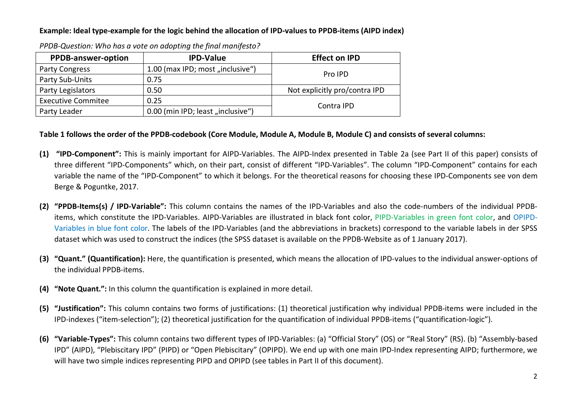#### **Example: Ideal type-example for the logic behind the allocation of IPD-values to PPDB-items (AIPD index)**

| <b>PPDB-answer-option</b>                          | <b>IPD-Value</b>                  | <b>Effect on IPD</b>          |  |
|----------------------------------------------------|-----------------------------------|-------------------------------|--|
| 1.00 (max IPD; most "inclusive")<br>Party Congress |                                   | Pro IPD                       |  |
| Party Sub-Units                                    | 0.75                              |                               |  |
| Party Legislators                                  | 0.50                              | Not explicitly pro/contra IPD |  |
| <b>Executive Commitee</b>                          | 0.25                              |                               |  |
| Party Leader                                       | 0.00 (min IPD; least "inclusive") | Contra IPD                    |  |

*PPDB-Question: Who has a vote on adopting the final manifesto?*

#### **Table 1 follows the order of the PPDB-codebook (Core Module, Module A, Module B, Module C) and consists of several columns:**

- **(1) "IPD-Component":** This is mainly important for AIPD-Variables. The AIPD-Index presented in Table 2a (see Part II of this paper) consists of three different "IPD-Components" which, on their part, consist of different "IPD-Variables". The column "IPD-Component" contains for each variable the name of the "IPD-Component" to which it belongs. For the theoretical reasons for choosing these IPD-Components see [von dem](#page-14-0)  Berge & Poguntke, 2017.
- **(2) "PPDB-Items(s) / IPD-Variable":** This column contains the names of the IPD-Variables and also the code-numbers of the individual PPDBitems, which constitute the IPD-Variables. AIPD-Variables are illustrated in black font color, PIPD-Variables in green font color, and OPIPD-Variables in blue font color. The labels of the IPD-Variables (and the abbreviations in brackets) correspond to the variable labels in der SPSS dataset which was used to construct the indices (the SPSS dataset is available on the PPDB-Website as of 1 January 2017).
- **(3) "Quant." (Quantification):** Here, the quantification is presented, which means the allocation of IPD-values to the individual answer-options of the individual PPDB-items.
- **(4) "Note Quant.":** In this column the quantification is explained in more detail.
- **(5) "Justification":** This column contains two forms of justifications: (1) theoretical justification why individual PPDB-items were included in the IPD-indexes ("item-selection"); (2) theoretical justification for the quantification of individual PPDB-items ("quantification-logic").
- **(6) "Variable-Types":** This column contains two different types of IPD-Variables: (a) "Official Story" (OS) or "Real Story" (RS). (b) "Assembly-based IPD" (AIPD), "Plebiscitary IPD" (PIPD) or "Open Plebiscitary" (OPIPD). We end up with one main IPD-Index representing AIPD; furthermore, we will have two simple indices representing PIPD and OPIPD (see tables in Part II of this document).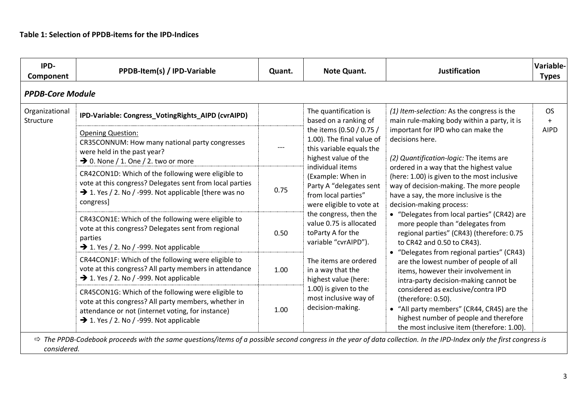| IPD-<br>Component           | PPDB-Item(s) / IPD-Variable                                                                                                                                                                                            | Quant.                                                                                                    | Note Quant.                                                                                                                                                                                                                                                                                                                                                       | Justification                                                                                                                                                                                                                                                                                                                                                                                                                                                                                                                                                                                                                                                                                                                                  | Variable-<br><b>Types</b> |
|-----------------------------|------------------------------------------------------------------------------------------------------------------------------------------------------------------------------------------------------------------------|-----------------------------------------------------------------------------------------------------------|-------------------------------------------------------------------------------------------------------------------------------------------------------------------------------------------------------------------------------------------------------------------------------------------------------------------------------------------------------------------|------------------------------------------------------------------------------------------------------------------------------------------------------------------------------------------------------------------------------------------------------------------------------------------------------------------------------------------------------------------------------------------------------------------------------------------------------------------------------------------------------------------------------------------------------------------------------------------------------------------------------------------------------------------------------------------------------------------------------------------------|---------------------------|
| <b>PPDB-Core Module</b>     |                                                                                                                                                                                                                        |                                                                                                           |                                                                                                                                                                                                                                                                                                                                                                   |                                                                                                                                                                                                                                                                                                                                                                                                                                                                                                                                                                                                                                                                                                                                                |                           |
| Organizational<br>Structure | IPD-Variable: Congress_VotingRights_AIPD (cvrAIPD)                                                                                                                                                                     |                                                                                                           | The quantification is<br>based on a ranking of                                                                                                                                                                                                                                                                                                                    | (1) Item-selection: As the congress is the<br>main rule-making body within a party, it is                                                                                                                                                                                                                                                                                                                                                                                                                                                                                                                                                                                                                                                      | <b>OS</b><br>$\ddot{}$    |
|                             | <b>Opening Question:</b><br>CR35CONNUM: How many national party congresses<br>were held in the past year?<br>$\rightarrow$ 0. None / 1. One / 2. two or more                                                           | the items (0.50 / 0.75 /<br>1.00). The final value of<br>this variable equals the<br>highest value of the | important for IPD who can make the<br>decisions here.<br>(2) Quantification-logic: The items are                                                                                                                                                                                                                                                                  | <b>AIPD</b>                                                                                                                                                                                                                                                                                                                                                                                                                                                                                                                                                                                                                                                                                                                                    |                           |
|                             | CR42CON1D: Which of the following were eligible to<br>vote at this congress? Delegates sent from local parties<br>$\rightarrow$ 1. Yes / 2. No / -999. Not applicable [there was no<br>congress]                       | 0.75                                                                                                      | individual items<br>(Example: When in<br>Party A "delegates sent<br>from local parties"<br>were eligible to vote at<br>the congress, then the<br>value 0.75 is allocated<br>toParty A for the<br>variable "cvrAIPD").<br>The items are ordered<br>in a way that the<br>highest value (here:<br>1.00) is given to the<br>most inclusive way of<br>decision-making. | ordered in a way that the highest value<br>(here: 1.00) is given to the most inclusive<br>way of decision-making. The more people<br>have a say, the more inclusive is the<br>decision-making process:<br>• "Delegates from local parties" (CR42) are<br>more people than "delegates from<br>regional parties" (CR43) (therefore: 0.75<br>to CR42 and 0.50 to CR43).<br>• "Delegates from regional parties" (CR43)<br>are the lowest number of people of all<br>items, however their involvement in<br>intra-party decision-making cannot be<br>considered as exclusive/contra IPD<br>(therefore: 0.50).<br>• "All party members" (CR44, CR45) are the<br>highest number of people and therefore<br>the most inclusive item (therefore: 1.00). |                           |
|                             | CR43CON1E: Which of the following were eligible to<br>vote at this congress? Delegates sent from regional<br>parties<br>$\rightarrow$ 1. Yes / 2. No / -999. Not applicable                                            | 0.50                                                                                                      |                                                                                                                                                                                                                                                                                                                                                                   |                                                                                                                                                                                                                                                                                                                                                                                                                                                                                                                                                                                                                                                                                                                                                |                           |
|                             | CR44CON1F: Which of the following were eligible to<br>vote at this congress? All party members in attendance<br>$\rightarrow$ 1. Yes / 2. No / -999. Not applicable                                                    | 1.00                                                                                                      |                                                                                                                                                                                                                                                                                                                                                                   |                                                                                                                                                                                                                                                                                                                                                                                                                                                                                                                                                                                                                                                                                                                                                |                           |
|                             | CR45CON1G: Which of the following were eligible to<br>vote at this congress? All party members, whether in<br>attendance or not (internet voting, for instance)<br>$\rightarrow$ 1. Yes / 2. No / -999. Not applicable | 1.00                                                                                                      |                                                                                                                                                                                                                                                                                                                                                                   |                                                                                                                                                                                                                                                                                                                                                                                                                                                                                                                                                                                                                                                                                                                                                |                           |

*considered.*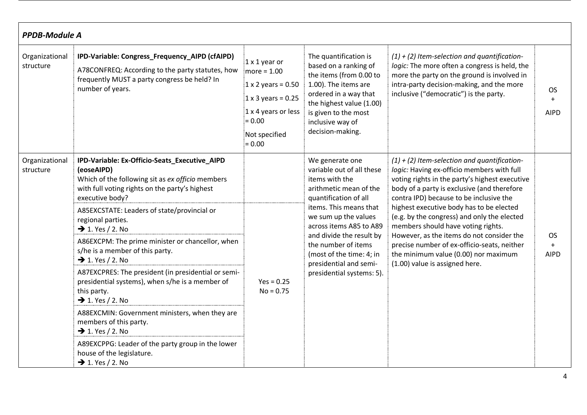| <b>PPDB-Module A</b>        |                                                                                                                                                                                      |                                                                                                                                                          |                                                                                                                                                                                                                        |                                                                                                                                                                                                                                                                                                     |                                 |
|-----------------------------|--------------------------------------------------------------------------------------------------------------------------------------------------------------------------------------|----------------------------------------------------------------------------------------------------------------------------------------------------------|------------------------------------------------------------------------------------------------------------------------------------------------------------------------------------------------------------------------|-----------------------------------------------------------------------------------------------------------------------------------------------------------------------------------------------------------------------------------------------------------------------------------------------------|---------------------------------|
| Organizational<br>structure | IPD-Variable: Congress_Frequency_AIPD (cfAIPD)<br>A78CONFREQ: According to the party statutes, how<br>frequently MUST a party congress be held? In<br>number of years.               | 1 x 1 year or<br>$more = 1.00$<br>$1 \times 2$ years = 0.50<br>$1 \times 3$ years = 0.25<br>1 x 4 years or less<br>$= 0.00$<br>Not specified<br>$= 0.00$ | The quantification is<br>based on a ranking of<br>the items (from 0.00 to<br>1.00). The items are<br>ordered in a way that<br>the highest value (1.00)<br>is given to the most<br>inclusive way of<br>decision-making. | $(1) + (2)$ Item-selection and quantification-<br>logic: The more often a congress is held, the<br>more the party on the ground is involved in<br>intra-party decision-making, and the more<br>inclusive ("democratic") is the party.                                                               | <b>OS</b><br>$+$<br><b>AIPD</b> |
| Organizational<br>structure | IPD-Variable: Ex-Officio-Seats_Executive_AIPD<br>(eoseAIPD)<br>Which of the following sit as ex officio members<br>with full voting rights on the party's highest<br>executive body? |                                                                                                                                                          | We generate one<br>variable out of all these<br>items with the<br>arithmetic mean of the<br>quantification of all                                                                                                      | $(1) + (2)$ Item-selection and quantification-<br>logic: Having ex-officio members with full<br>voting rights in the party's highest executive<br>body of a party is exclusive (and therefore<br>contra IPD) because to be inclusive the                                                            |                                 |
|                             | A85EXCSTATE: Leaders of state/provincial or<br>regional parties.<br>$\rightarrow$ 1. Yes / 2. No                                                                                     | $Yes = 0.25$<br>$No = 0.75$                                                                                                                              | items. This means that<br>we sum up the values<br>across items A85 to A89<br>and divide the result by<br>the number of items<br>(most of the time: 4; in<br>presidential and semi-<br>presidential systems: 5).        | highest executive body has to be elected<br>(e.g. by the congress) and only the elected<br>members should have voting rights.<br>However, as the items do not consider the<br>precise number of ex-officio-seats, neither<br>the minimum value (0.00) nor maximum<br>(1.00) value is assigned here. |                                 |
|                             | A86EXCPM: The prime minister or chancellor, when<br>s/he is a member of this party.<br>$\rightarrow$ 1. Yes / 2. No                                                                  |                                                                                                                                                          |                                                                                                                                                                                                                        |                                                                                                                                                                                                                                                                                                     | <b>OS</b><br>$+$<br><b>AIPD</b> |
|                             | A87EXCPRES: The president (in presidential or semi-<br>presidential systems), when s/he is a member of<br>this party.<br>$\rightarrow$ 1. Yes / 2. No                                |                                                                                                                                                          |                                                                                                                                                                                                                        |                                                                                                                                                                                                                                                                                                     |                                 |
|                             | A88EXCMIN: Government ministers, when they are<br>members of this party.<br>$\rightarrow$ 1. Yes / 2. No                                                                             |                                                                                                                                                          |                                                                                                                                                                                                                        |                                                                                                                                                                                                                                                                                                     |                                 |
|                             | A89EXCPPG: Leader of the party group in the lower<br>house of the legislature.<br>$\rightarrow$ 1. Yes / 2. No                                                                       |                                                                                                                                                          |                                                                                                                                                                                                                        |                                                                                                                                                                                                                                                                                                     |                                 |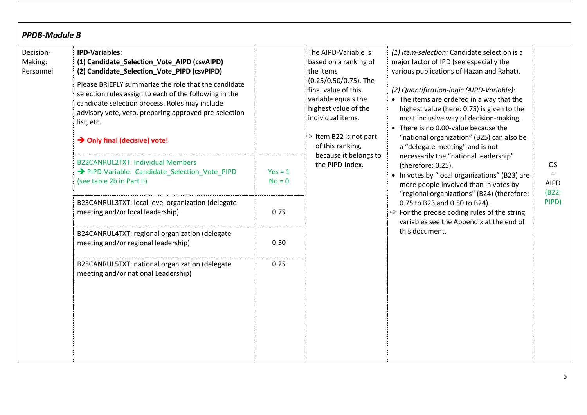| <b>PPDB-Module B</b>              |                                                                                                                                                                                                                                                                                                                                                                                                             |                               |                                                                                                                                                                                                                                          |                                                                                                                                                                                                                                                                                                                                                                                                                                                |                                          |
|-----------------------------------|-------------------------------------------------------------------------------------------------------------------------------------------------------------------------------------------------------------------------------------------------------------------------------------------------------------------------------------------------------------------------------------------------------------|-------------------------------|------------------------------------------------------------------------------------------------------------------------------------------------------------------------------------------------------------------------------------------|------------------------------------------------------------------------------------------------------------------------------------------------------------------------------------------------------------------------------------------------------------------------------------------------------------------------------------------------------------------------------------------------------------------------------------------------|------------------------------------------|
| Decision-<br>Making:<br>Personnel | <b>IPD-Variables:</b><br>(1) Candidate_Selection_Vote_AIPD (csvAIPD)<br>(2) Candidate_Selection_Vote_PIPD (csvPIPD)<br>Please BRIEFLY summarize the role that the candidate<br>selection rules assign to each of the following in the<br>candidate selection process. Roles may include<br>advisory vote, veto, preparing approved pre-selection<br>list, etc.<br>$\rightarrow$ Only final (decisive) vote! |                               | The AIPD-Variable is<br>based on a ranking of<br>the items<br>(0.25/0.50/0.75). The<br>final value of this<br>variable equals the<br>highest value of the<br>individual items.<br>$\Rightarrow$ Item B22 is not part<br>of this ranking, | (1) Item-selection: Candidate selection is a<br>major factor of IPD (see especially the<br>various publications of Hazan and Rahat).<br>(2) Quantification-logic (AIPD-Variable):<br>• The items are ordered in a way that the<br>highest value (here: 0.75) is given to the<br>most inclusive way of decision-making.<br>• There is no 0.00-value because the<br>"national organization" (B25) can also be<br>a "delegate meeting" and is not |                                          |
|                                   | <b>B22CANRUL2TXT: Individual Members</b><br>→ PIPD-Variable: Candidate_Selection_Vote_PIPD<br>(see table 2b in Part II)                                                                                                                                                                                                                                                                                     | $Yes = 1$<br>$No = 0$<br>0.75 | because it belongs to<br>the PIPD-Index.                                                                                                                                                                                                 | necessarily the "national leadership"<br>(therefore: 0.25).<br>• In votes by "local organizations" (B23) are<br>more people involved than in votes by<br>"regional organizations" (B24) (therefore:<br>0.75 to B23 and 0.50 to B24).<br>$\Rightarrow$ For the precise coding rules of the string<br>variables see the Appendix at the end of                                                                                                   | <b>OS</b><br>$+$<br><b>AIPD</b><br>(B22) |
|                                   | B23CANRUL3TXT: local level organization (delegate<br>meeting and/or local leadership)                                                                                                                                                                                                                                                                                                                       |                               |                                                                                                                                                                                                                                          |                                                                                                                                                                                                                                                                                                                                                                                                                                                | PIPD)                                    |
|                                   | B24CANRUL4TXT: regional organization (delegate<br>meeting and/or regional leadership)                                                                                                                                                                                                                                                                                                                       | 0.50                          |                                                                                                                                                                                                                                          | this document.                                                                                                                                                                                                                                                                                                                                                                                                                                 |                                          |
|                                   | B25CANRUL5TXT: national organization (delegate<br>meeting and/or national Leadership)                                                                                                                                                                                                                                                                                                                       | 0.25                          |                                                                                                                                                                                                                                          |                                                                                                                                                                                                                                                                                                                                                                                                                                                |                                          |

I.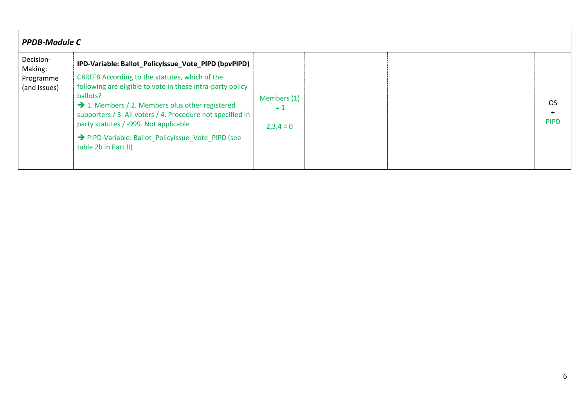|                                                   | <b>PPDB-Module C</b>                                                                                                                                                                                                                                                                                                                                                                                                                 |                                     |  |                          |  |
|---------------------------------------------------|--------------------------------------------------------------------------------------------------------------------------------------------------------------------------------------------------------------------------------------------------------------------------------------------------------------------------------------------------------------------------------------------------------------------------------------|-------------------------------------|--|--------------------------|--|
| Decision-<br>Making:<br>Programme<br>(and Issues) | IPD-Variable: Ballot_PolicyIssue_Vote_PIPD (bpvPIPD)<br>C8REF8 According to the statutes, which of the<br>following are eligible to vote in these intra-party policy<br>ballots?<br>$\rightarrow$ 1. Members / 2. Members plus other registered<br>supporters / 3. All voters / 4. Procedure not specified in<br>party statutes / -999. Not applicable<br>→ PIPD-Variable: Ballot PolicyIssue Vote PIPD (see<br>table 2b in Part II) | Members (1)<br>$= 1$<br>$2,3,4 = 0$ |  | <b>OS</b><br><b>PIPD</b> |  |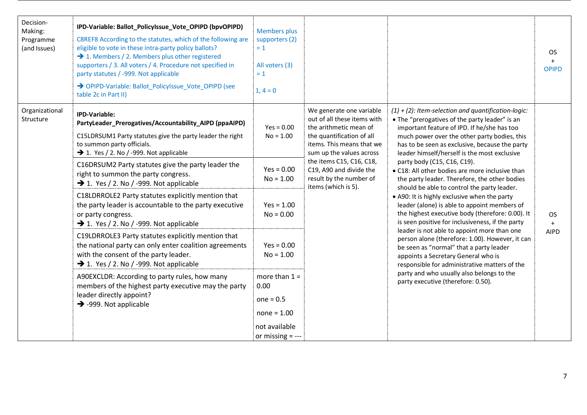| Decision-<br>Making:<br>Programme<br>(and Issues) | IPD-Variable: Ballot_PolicyIssue_Vote_OPIPD (bpvOPIPD)<br>C8REF8 According to the statutes, which of the following are<br>eligible to vote in these intra-party policy ballots?<br>$\rightarrow$ 1. Members / 2. Members plus other registered<br>supporters / 3. All voters / 4. Procedure not specified in<br>party statutes / -999. Not applicable<br>> OPIPD-Variable: Ballot PolicyIssue Vote OPIPD (see<br>table 2c in Part II) | <b>Members plus</b><br>supporters (2)<br>$= 1$<br>All voters (3)<br>$= 1$<br>$1, 4 = 0$        |                                                                                                                                                                                                                                                                                                                 |                                                                                                                                                                                                                                                                                                                                                                                                                                                                                                                                                                                              | <b>OS</b><br>$+$<br><b>OPIPD</b> |
|---------------------------------------------------|---------------------------------------------------------------------------------------------------------------------------------------------------------------------------------------------------------------------------------------------------------------------------------------------------------------------------------------------------------------------------------------------------------------------------------------|------------------------------------------------------------------------------------------------|-----------------------------------------------------------------------------------------------------------------------------------------------------------------------------------------------------------------------------------------------------------------------------------------------------------------|----------------------------------------------------------------------------------------------------------------------------------------------------------------------------------------------------------------------------------------------------------------------------------------------------------------------------------------------------------------------------------------------------------------------------------------------------------------------------------------------------------------------------------------------------------------------------------------------|----------------------------------|
| Organizational<br>Structure                       | <b>IPD-Variable:</b><br>PartyLeader_Prerogatives/Accountability_AIPD (ppaAIPD)<br>C15LDRSUM1 Party statutes give the party leader the right<br>to summon party officials.<br>$\rightarrow$ 1. Yes / 2. No / -999. Not applicable<br>C16DRSUM2 Party statutes give the party leader the                                                                                                                                                | $Yes = 0.00$<br>$No = 1.00$                                                                    | We generate one variable<br>out of all these items with<br>the arithmetic mean of<br>the quantification of all<br>items. This means that we<br>sum up the values across<br>the items C15, C16, C18,<br>party body (C15, C16, C19).<br>C19, A90 and divide the<br>result by the number of<br>items (which is 5). | $(1) + (2)$ : Item-selection and quantification-logic:<br>• The "prerogatives of the party leader" is an<br>important feature of IPD. If he/she has too<br>much power over the other party bodies, this<br>has to be seen as exclusive, because the party<br>leader himself/herself is the most exclusive                                                                                                                                                                                                                                                                                    |                                  |
|                                                   | right to summon the party congress.<br>$\rightarrow$ 1. Yes / 2. No / -999. Not applicable                                                                                                                                                                                                                                                                                                                                            | $Yes = 0.00$<br>$No = 1.00$                                                                    |                                                                                                                                                                                                                                                                                                                 | • C18: All other bodies are more inclusive than<br>the party leader. Therefore, the other bodies<br>should be able to control the party leader.<br>• A90: It is highly exclusive when the party<br>leader (alone) is able to appoint members of<br>the highest executive body (therefore: 0.00). It<br>is seen positive for inclusiveness, if the party<br>leader is not able to appoint more than one<br>person alone (therefore: 1.00). However, it can<br>be seen as "normal" that a party leader<br>appoints a Secretary General who is<br>responsible for administrative matters of the |                                  |
|                                                   | C18LDRROLE2 Party statutes explicitly mention that<br>the party leader is accountable to the party executive<br>or party congress.<br>$\rightarrow$ 1. Yes / 2. No / -999. Not applicable                                                                                                                                                                                                                                             | $Yes = 1.00$<br>$No = 0.00$                                                                    |                                                                                                                                                                                                                                                                                                                 |                                                                                                                                                                                                                                                                                                                                                                                                                                                                                                                                                                                              | <b>OS</b><br>$+$                 |
|                                                   | C19LDRROLE3 Party statutes explicitly mention that<br>the national party can only enter coalition agreements<br>with the consent of the party leader.<br>$\rightarrow$ 1. Yes / 2. No / -999. Not applicable                                                                                                                                                                                                                          | $Yes = 0.00$<br>$No = 1.00$                                                                    |                                                                                                                                                                                                                                                                                                                 |                                                                                                                                                                                                                                                                                                                                                                                                                                                                                                                                                                                              | <b>AIPD</b>                      |
|                                                   | A90EXCLDR: According to party rules, how many<br>members of the highest party executive may the party<br>leader directly appoint?<br>$\rightarrow$ -999. Not applicable                                                                                                                                                                                                                                                               | more than $1 =$<br>0.00<br>$one = 0.5$<br>$none = 1.00$<br>not available<br>or missing $=$ --- |                                                                                                                                                                                                                                                                                                                 | party and who usually also belongs to the<br>party executive (therefore: 0.50).                                                                                                                                                                                                                                                                                                                                                                                                                                                                                                              |                                  |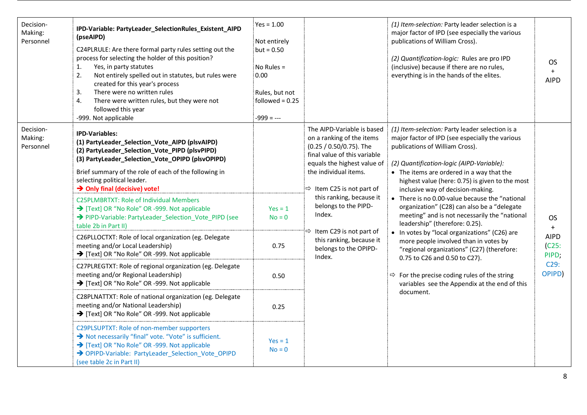| Decision-<br>Making:<br>Personnel | IPD-Variable: PartyLeader_SelectionRules_Existent_AIPD<br>(pseAIPD)<br>C24PLRULE: Are there formal party rules setting out the<br>process for selecting the holder of this position?<br>Yes, in party statutes<br>1.<br>2.<br>Not entirely spelled out in statutes, but rules were<br>created for this year's process<br>There were no written rules<br>3.<br>4.<br>There were written rules, but they were not<br>followed this year<br>-999. Not applicable                                                                                                                                                                                                                                                                                                                                                                                                                                                                                                                                                                                                                                                                                                                       | $Yes = 1.00$<br>Not entirely<br>$but = 0.50$<br>No Rules $=$<br>0.00<br>Rules, but not<br>followed = $0.25$<br>$-999 = -$ |                                                                                                                                                                                                                                                                                                                                                                                           | (1) Item-selection: Party leader selection is a<br>major factor of IPD (see especially the various<br>publications of William Cross).<br>(2) Quantification-logic: Rules are pro IPD<br>(inclusive) because if there are no rules,<br>everything is in the hands of the elites.                                                                                                                                                                                                                                                                                                                                                                                                                                                                                                                                | <b>OS</b><br>$+$<br><b>AIPD</b>                                     |
|-----------------------------------|-------------------------------------------------------------------------------------------------------------------------------------------------------------------------------------------------------------------------------------------------------------------------------------------------------------------------------------------------------------------------------------------------------------------------------------------------------------------------------------------------------------------------------------------------------------------------------------------------------------------------------------------------------------------------------------------------------------------------------------------------------------------------------------------------------------------------------------------------------------------------------------------------------------------------------------------------------------------------------------------------------------------------------------------------------------------------------------------------------------------------------------------------------------------------------------|---------------------------------------------------------------------------------------------------------------------------|-------------------------------------------------------------------------------------------------------------------------------------------------------------------------------------------------------------------------------------------------------------------------------------------------------------------------------------------------------------------------------------------|----------------------------------------------------------------------------------------------------------------------------------------------------------------------------------------------------------------------------------------------------------------------------------------------------------------------------------------------------------------------------------------------------------------------------------------------------------------------------------------------------------------------------------------------------------------------------------------------------------------------------------------------------------------------------------------------------------------------------------------------------------------------------------------------------------------|---------------------------------------------------------------------|
| Decision-<br>Making:<br>Personnel | <b>IPD-Variables:</b><br>(1) PartyLeader_Selection_Vote_AIPD (plsvAIPD)<br>(2) PartyLeader_Selection_Vote_PIPD (plsvPIPD)<br>(3) PartyLeader_Selection_Vote_OPIPD (plsvOPIPD)<br>Brief summary of the role of each of the following in<br>selecting political leader.<br>→ Only final (decisive) vote!<br><b>C25PLMBRTXT: Role of Individual Members</b><br>Text] OR "No Role" OR -999. Not applicable<br>→ PIPD-Variable: PartyLeader_Selection_Vote_PIPD (see<br>table 2b in Part II)<br>C26PLLOCTXT: Role of local organization (eg. Delegate<br>meeting and/or Local Leadership)<br>→ [Text] OR "No Role" OR -999. Not applicable<br>C27PLREGTXT: Role of regional organization (eg. Delegate<br>meeting and/or Regional Leadership)<br>→ [Text] OR "No Role" OR -999. Not applicable<br>C28PLNATTXT: Role of national organization (eg. Delegate<br>meeting and/or National Leadership)<br>→ [Text] OR "No Role" OR -999. Not applicable<br>C29PLSUPTXT: Role of non-member supporters<br>Not necessarily "final" vote. "Vote" is sufficient.<br>Text] OR "No Role" OR -999. Not applicable<br>> OPIPD-Variable: PartyLeader Selection Vote OPIPD<br>(see table 2c in Part II) | $Yes = 1$<br>$No = 0$<br>0.75<br>0.50<br>0.25<br>$Yes = 1$<br>$No = 0$                                                    | The AIPD-Variable is based<br>on a ranking of the items<br>(0.25 / 0.50/0.75). The<br>final value of this variable<br>equals the highest value of<br>the individual items.<br>$\Rightarrow$ Item C25 is not part of<br>this ranking, because it<br>belongs to the PIPD-<br>Index.<br>$\Rightarrow$ Item C29 is not part of<br>this ranking, because it<br>belongs to the OPIPD-<br>Index. | (1) Item-selection: Party leader selection is a<br>major factor of IPD (see especially the various<br>publications of William Cross).<br>(2) Quantification-logic (AIPD-Variable):<br>• The items are ordered in a way that the<br>highest value (here: 0.75) is given to the most<br>inclusive way of decision-making.<br>• There is no 0.00-value because the "national<br>organization" (C28) can also be a "delegate<br>meeting" and is not necessarily the "national<br>leadership" (therefore: 0.25).<br>• In votes by "local organizations" (C26) are<br>more people involved than in votes by<br>"regional organizations" (C27) (therefore:<br>0.75 to C26 and 0.50 to C27).<br>$\Rightarrow$ For the precise coding rules of the string<br>variables see the Appendix at the end of this<br>document. | <b>OS</b><br>$+$<br><b>AIPD</b><br>(C25)<br>PIPD;<br>C29:<br>OPIPD) |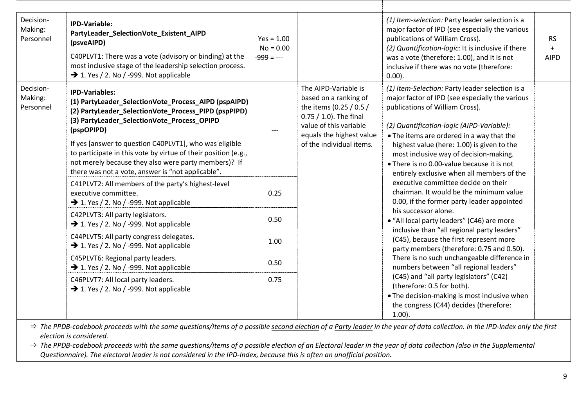| Decision-<br>Making:<br>Personnel | <b>IPD-Variable:</b><br>PartyLeader_SelectionVote_Existent_AIPD<br>(psveAIPD)<br>C40PLVT1: There was a vote (advisory or binding) at the<br>most inclusive stage of the leadership selection process.<br>$\rightarrow$ 1. Yes / 2. No / -999. Not applicable                                                                                                                                                                                | $Yes = 1.00$<br>$No = 0.00$<br>$-999 = -$ |                                                                                                                                                                                         | (1) Item-selection: Party leader selection is a<br>major factor of IPD (see especially the various<br>publications of William Cross).<br>(2) Quantification-logic: It is inclusive if there<br>was a vote (therefore: 1.00), and it is not<br>inclusive if there was no vote (therefore:<br>$0.00$ ).                                                                                                                                                                                                                                                                                                                                                                                                                                                            | <b>RS</b><br>$+$<br><b>AIPD</b> |
|-----------------------------------|---------------------------------------------------------------------------------------------------------------------------------------------------------------------------------------------------------------------------------------------------------------------------------------------------------------------------------------------------------------------------------------------------------------------------------------------|-------------------------------------------|-----------------------------------------------------------------------------------------------------------------------------------------------------------------------------------------|------------------------------------------------------------------------------------------------------------------------------------------------------------------------------------------------------------------------------------------------------------------------------------------------------------------------------------------------------------------------------------------------------------------------------------------------------------------------------------------------------------------------------------------------------------------------------------------------------------------------------------------------------------------------------------------------------------------------------------------------------------------|---------------------------------|
| Decision-<br>Making:<br>Personnel | <b>IPD-Variables:</b><br>(1) PartyLeader_SelectionVote_Process_AIPD (pspAIPD)<br>(2) PartyLeader_SelectionVote_Process_PIPD (pspPIPD)<br>(3) PartyLeader_SelectionVote_Process_OPIPD<br>(pspOPIPD)<br>If yes [answer to question C40PLVT1], who was eligible<br>to participate in this vote by virtue of their position (e.g.,<br>not merely because they also were party members)? If<br>there was not a vote, answer is "not applicable". | $---$                                     | The AIPD-Variable is<br>based on a ranking of<br>the items (0.25 / 0.5 /<br>$0.75 / 1.0$ ). The final<br>value of this variable<br>equals the highest value<br>of the individual items. | (1) Item-Selection: Party leader selection is a<br>major factor of IPD (see especially the various<br>publications of William Cross).<br>(2) Quantification-logic (AIPD-Variable):<br>• The items are ordered in a way that the<br>highest value (here: 1.00) is given to the<br>most inclusive way of decision-making.<br>• There is no 0.00-value because it is not<br>entirely exclusive when all members of the<br>executive committee decide on their<br>chairman. It would be the minimum value<br>0.00, if the former party leader appointed<br>his successor alone.<br>• "All local party leaders" (C46) are more<br>inclusive than "all regional party leaders"<br>(C45), because the first represent more<br>party members (therefore: 0.75 and 0.50). |                                 |
|                                   | C41PLVT2: All members of the party's highest-level<br>executive committee.<br>$\rightarrow$ 1. Yes / 2. No / -999. Not applicable                                                                                                                                                                                                                                                                                                           | 0.25                                      |                                                                                                                                                                                         |                                                                                                                                                                                                                                                                                                                                                                                                                                                                                                                                                                                                                                                                                                                                                                  |                                 |
|                                   | C42PLVT3: All party legislators.<br>$\rightarrow$ 1. Yes / 2. No / -999. Not applicable                                                                                                                                                                                                                                                                                                                                                     | 0.50                                      |                                                                                                                                                                                         |                                                                                                                                                                                                                                                                                                                                                                                                                                                                                                                                                                                                                                                                                                                                                                  |                                 |
|                                   | C44PLVT5: All party congress delegates.<br>$\rightarrow$ 1. Yes / 2. No / -999. Not applicable                                                                                                                                                                                                                                                                                                                                              | 1.00                                      |                                                                                                                                                                                         |                                                                                                                                                                                                                                                                                                                                                                                                                                                                                                                                                                                                                                                                                                                                                                  |                                 |
|                                   | C45PLVT6: Regional party leaders.<br>$\rightarrow$ 1. Yes / 2. No / -999. Not applicable                                                                                                                                                                                                                                                                                                                                                    | 0.50                                      |                                                                                                                                                                                         | There is no such unchangeable difference in<br>numbers between "all regional leaders"                                                                                                                                                                                                                                                                                                                                                                                                                                                                                                                                                                                                                                                                            |                                 |
|                                   | C46PLVT7: All local party leaders.<br>$\rightarrow$ 1. Yes / 2. No / -999. Not applicable                                                                                                                                                                                                                                                                                                                                                   | 0.75                                      |                                                                                                                                                                                         | (C45) and "all party legislators" (C42)<br>(therefore: 0.5 for both).<br>• The decision-making is most inclusive when<br>the congress (C44) decides (therefore:<br>$1.00$ ).                                                                                                                                                                                                                                                                                                                                                                                                                                                                                                                                                                                     |                                 |

 *The PPDB-codebook proceeds with the same questions/items of a possible second election of a Party leader in the year of data collection. In the IPD-Index only the first election is considered.*

 $\Rightarrow$  The PPDB-codebook proceeds with the same questions/items of a possible election of an Electoral leader in the year of data collection (also in the Supplemental *Questionnaire). The electoral leader is not considered in the IPD-Index, because this is often an unofficial position.*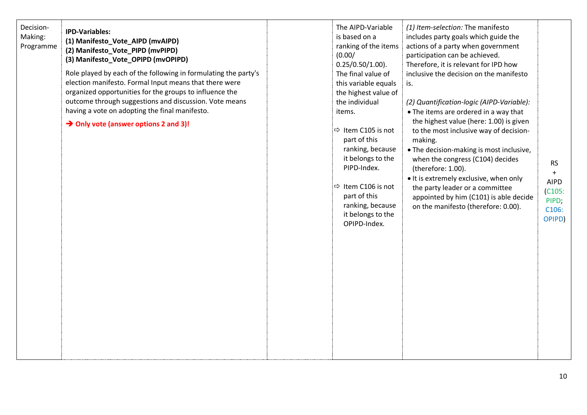| Decision-<br>Making:<br>Programme | <b>IPD-Variables:</b><br>(1) Manifesto_Vote_AIPD (mvAIPD)<br>(2) Manifesto_Vote_PIPD (mvPIPD)<br>(3) Manifesto_Vote_OPIPD (mvOPIPD)<br>Role played by each of the following in formulating the party's<br>election manifesto. Formal Input means that there were<br>organized opportunities for the groups to influence the<br>outcome through suggestions and discussion. Vote means<br>having a vote on adopting the final manifesto.<br>$\rightarrow$ Only vote (answer options 2 and 3)! |  | The AIPD-Variable<br>is based on a<br>ranking of the items<br>(0.00/<br>$0.25/0.50/1.00$ ).<br>The final value of<br>this variable equals<br>the highest value of<br>the individual<br>items.<br>$\Rightarrow$ Item C105 is not<br>part of this<br>ranking, because<br>it belongs to the<br>PIPD-Index.<br>$\Rightarrow$ Item C106 is not<br>part of this<br>ranking, because<br>it belongs to the<br>OPIPD-Index. | (1) Item-selection: The manifesto<br>includes party goals which guide the<br>actions of a party when government<br>participation can be achieved.<br>Therefore, it is relevant for IPD how<br>inclusive the decision on the manifesto<br>is.<br>(2) Quantification-logic (AIPD-Variable):<br>• The items are ordered in a way that<br>the highest value (here: 1.00) is given<br>to the most inclusive way of decision-<br>making.<br>. The decision-making is most inclusive,<br>when the congress (C104) decides<br>(therefore: 1.00).<br>. It is extremely exclusive, when only<br>the party leader or a committee<br>appointed by him (C101) is able decide<br>on the manifesto (therefore: 0.00). | <b>RS</b><br>$+$<br><b>AIPD</b><br>(C105)<br>PIPD;<br>C106:<br>OPIPD) |
|-----------------------------------|----------------------------------------------------------------------------------------------------------------------------------------------------------------------------------------------------------------------------------------------------------------------------------------------------------------------------------------------------------------------------------------------------------------------------------------------------------------------------------------------|--|--------------------------------------------------------------------------------------------------------------------------------------------------------------------------------------------------------------------------------------------------------------------------------------------------------------------------------------------------------------------------------------------------------------------|--------------------------------------------------------------------------------------------------------------------------------------------------------------------------------------------------------------------------------------------------------------------------------------------------------------------------------------------------------------------------------------------------------------------------------------------------------------------------------------------------------------------------------------------------------------------------------------------------------------------------------------------------------------------------------------------------------|-----------------------------------------------------------------------|
|-----------------------------------|----------------------------------------------------------------------------------------------------------------------------------------------------------------------------------------------------------------------------------------------------------------------------------------------------------------------------------------------------------------------------------------------------------------------------------------------------------------------------------------------|--|--------------------------------------------------------------------------------------------------------------------------------------------------------------------------------------------------------------------------------------------------------------------------------------------------------------------------------------------------------------------------------------------------------------------|--------------------------------------------------------------------------------------------------------------------------------------------------------------------------------------------------------------------------------------------------------------------------------------------------------------------------------------------------------------------------------------------------------------------------------------------------------------------------------------------------------------------------------------------------------------------------------------------------------------------------------------------------------------------------------------------------------|-----------------------------------------------------------------------|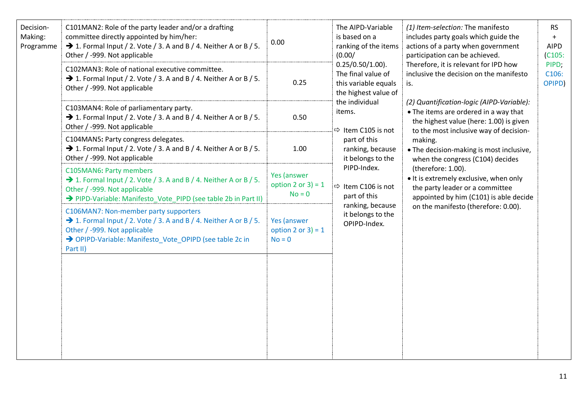| Decision-<br>Making:<br>Programme | C101MAN2: Role of the party leader and/or a drafting<br>committee directly appointed by him/her:<br>$\rightarrow$ 1. Formal Input / 2. Vote / 3. A and B / 4. Neither A or B / 5.<br>Other / -999. Not applicable             | 0.00                                                                     | The AIPD-Variable<br>is based on a<br>ranking of the items<br>(0.00/<br>$0.25/0.50/1.00$ ).<br>The final value of<br>this variable equals<br>the highest value of<br>the individual<br>items.<br>$\Rightarrow$ Item C105 is not | (1) Item-selection: The manifesto<br>includes party goals which guide the<br>actions of a party when government<br>participation can be achieved.                                                                                                                  | <b>RS</b><br>$+$<br><b>AIPD</b><br>(C105) |
|-----------------------------------|-------------------------------------------------------------------------------------------------------------------------------------------------------------------------------------------------------------------------------|--------------------------------------------------------------------------|---------------------------------------------------------------------------------------------------------------------------------------------------------------------------------------------------------------------------------|--------------------------------------------------------------------------------------------------------------------------------------------------------------------------------------------------------------------------------------------------------------------|-------------------------------------------|
|                                   | C102MAN3: Role of national executive committee.<br>$\rightarrow$ 1. Formal Input / 2. Vote / 3. A and B / 4. Neither A or B / 5.<br>Other / -999. Not applicable                                                              | 0.25                                                                     |                                                                                                                                                                                                                                 | Therefore, it is relevant for IPD how<br>inclusive the decision on the manifesto<br>is.<br>(2) Quantification-logic (AIPD-Variable):<br>• The items are ordered in a way that<br>the highest value (here: 1.00) is given<br>to the most inclusive way of decision- | PIPD;<br>C106:<br>OPIPD)                  |
|                                   | C103MAN4: Role of parliamentary party.<br>$\rightarrow$ 1. Formal Input / 2. Vote / 3. A and B / 4. Neither A or B / 5.<br>Other / -999. Not applicable                                                                       | 0.50                                                                     |                                                                                                                                                                                                                                 |                                                                                                                                                                                                                                                                    |                                           |
|                                   | C104MAN5: Party congress delegates.<br>$\rightarrow$ 1. Formal Input / 2. Vote / 3. A and B / 4. Neither A or B / 5.<br>Other / -999. Not applicable                                                                          | part of this<br>making.<br>1.00<br>ranking, because<br>it belongs to the | . The decision-making is most inclusive,<br>when the congress (C104) decides                                                                                                                                                    |                                                                                                                                                                                                                                                                    |                                           |
|                                   | C105MAN6: Party members<br>→ 1. Formal Input / 2. Vote / 3. A and B / 4. Neither A or B / 5.<br>Other / -999. Not applicable<br>→ PIPD-Variable: Manifesto_Vote_PIPD (see table 2b in Part II)                                | Yes (answer<br>option 2 or $3$ ) = 1<br>$No = 0$                         | PIPD-Index.<br>$\Rightarrow$ Item C106 is not<br>part of this<br>ranking, because<br>it belongs to the<br>OPIPD-Index.                                                                                                          | (therefore: 1.00).<br>. It is extremely exclusive, when only<br>the party leader or a committee<br>appointed by him (C101) is able decide<br>on the manifesto (therefore: 0.00).                                                                                   |                                           |
|                                   | C106MAN7: Non-member party supporters<br>$\rightarrow$ 1. Formal Input / 2. Vote / 3. A and B / 4. Neither A or B / 5.<br>Other / -999. Not applicable<br>> OPIPD-Variable: Manifesto_Vote_OPIPD (see table 2c in<br>Part II) | Yes (answer<br>option 2 or $3$ ) = 1<br>$No = 0$                         |                                                                                                                                                                                                                                 |                                                                                                                                                                                                                                                                    |                                           |
|                                   |                                                                                                                                                                                                                               |                                                                          |                                                                                                                                                                                                                                 |                                                                                                                                                                                                                                                                    |                                           |
|                                   |                                                                                                                                                                                                                               |                                                                          |                                                                                                                                                                                                                                 |                                                                                                                                                                                                                                                                    |                                           |
|                                   |                                                                                                                                                                                                                               |                                                                          |                                                                                                                                                                                                                                 |                                                                                                                                                                                                                                                                    |                                           |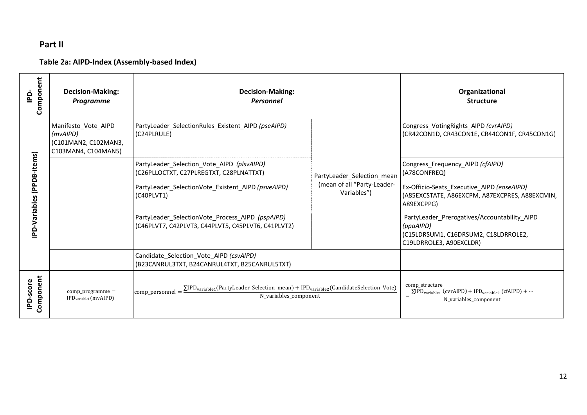# **Part II**

# **Table 2a: AIPD-Index (Assembly-based Index)**

| Component<br>$\mathbf{a}$        | <b>Decision-Making:</b><br><b>Programme</b>                                    | <b>Decision-Making:</b><br>Personnel                                                                                                                           |                                            | Organizational<br><b>Structure</b>                                                                                           |
|----------------------------------|--------------------------------------------------------------------------------|----------------------------------------------------------------------------------------------------------------------------------------------------------------|--------------------------------------------|------------------------------------------------------------------------------------------------------------------------------|
|                                  | Manifesto Vote AIPD<br>(mvAIPD)<br>(C101MAN2, C102MAN3,<br>C103MAN4, C104MAN5) | PartyLeader SelectionRules Existent AIPD (pseAIPD)<br>(C24PLRULE)                                                                                              |                                            | Congress_VotingRights_AIPD (cvrAIPD)<br>(CR42CON1D, CR43CON1E, CR44CON1F, CR45CON1G)                                         |
|                                  |                                                                                | PartyLeader Selection Vote AIPD (plsvAIPD)<br>(C26PLLOCTXT, C27PLREGTXT, C28PLNATTXT)                                                                          | PartyLeader_Selection_mean                 | Congress Frequency AIPD (cfAIPD)<br>(A78CONFREQ)                                                                             |
| <b>PD-Variables (PPDB-items)</b> |                                                                                | PartyLeader SelectionVote Existent AIPD (psveAIPD)<br>(C40PLVT1)                                                                                               | (mean of all "Party-Leader-<br>Variables") | Ex-Officio-Seats Executive AIPD (eoseAIPD)<br>(A85EXCSTATE, A86EXCPM, A87EXCPRES, A88EXCMIN,<br>A89EXCPPG)                   |
|                                  |                                                                                | PartyLeader SelectionVote Process AIPD (pspAIPD)<br>(C46PLVT7, C42PLVT3, C44PLVT5, C45PLVT6, C41PLVT2)                                                         |                                            | PartyLeader Prerogatives/Accountability AIPD<br>(ppaAIPD)<br>(C15LDRSUM1, C16DRSUM2, C18LDRROLE2,<br>C19LDRROLE3, A90EXCLDR) |
|                                  |                                                                                | Candidate_Selection_Vote_AIPD (csvAIPD)<br>(B23CANRUL3TXT, B24CANRUL4TXT, B25CANRUL5TXT)                                                                       |                                            |                                                                                                                              |
| Component<br>-score<br>ݠ         | $comp\_programme =$<br>IPD <sub>variable1</sub> (mvAIPD)                       | $\Sigma$ IPD <sub>variable1</sub> (PartyLeader_Selection_mean) + IPD <sub>variable2</sub> (CandidateSelection_Vote)<br>comp personnel<br>N variables component |                                            | comp_structure<br>$\Sigma$ IPD <sub>variable1</sub> (cvrAIPD) + IPD <sub>variable2</sub> (cfAIPD) +<br>N variables component |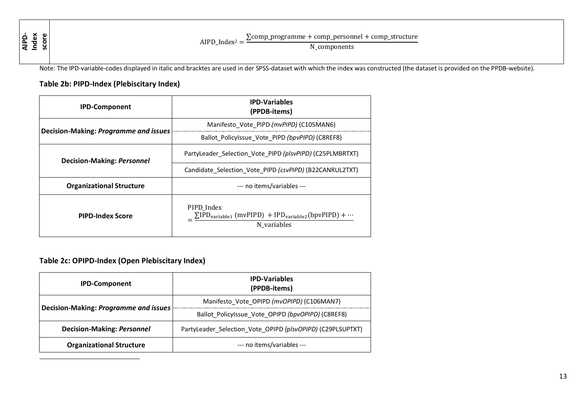**AIPD-Index score**

 $\overline{a}$ 

AIPD\_Index<sup>2</sup> =  $\frac{\sum comp\_programme + comp\_personnel + comp\_structure}{\sum comp\_prel}$ 

N\_components

Note: The IPD-variable-codes displayed in italic and bracktes are used in der SPSS-dataset with which the index was constructed (the dataset is provided on the PPDB-website).

## **Table 2b: PIPD-Index (Plebiscitary Index)**

| <b>IPD-Component</b>                  | <b>IPD-Variables</b><br>(PPDB-items)                                                                           |  |  |  |
|---------------------------------------|----------------------------------------------------------------------------------------------------------------|--|--|--|
|                                       | Manifesto Vote PIPD (mvPIPD) (C105MAN6)                                                                        |  |  |  |
| Decision-Making: Programme and issues | Ballot PolicyIssue Vote PIPD (bpvPIPD) (C8REF8)                                                                |  |  |  |
| <b>Decision-Making: Personnel</b>     | PartyLeader Selection Vote PIPD (plsvPIPD) (C25PLMBRTXT)                                                       |  |  |  |
|                                       | Candidate Selection Vote PIPD (csvPIPD) (B22CANRUL2TXT)                                                        |  |  |  |
| <b>Organizational Structure</b>       | --- no items/variables ---                                                                                     |  |  |  |
| <b>PIPD-Index Score</b>               | PIPD Index<br>$\Sigma$ IPD <sub>variable1</sub> (mvPIPD) + IPD <sub>variable2</sub> (bpvPIPD) +<br>N_variables |  |  |  |

## **Table 2c: OPIPD-Index (Open Plebiscitary Index)**

| <b>IPD-Component</b>                         | <b>IPD-Variables</b><br>(PPDB-items)                       |
|----------------------------------------------|------------------------------------------------------------|
| <b>Decision-Making: Programme and issues</b> | Manifesto_Vote_OPIPD (mvOPIPD) (C106MAN7)                  |
|                                              | Ballot_PolicyIssue_Vote_OPIPD (bpvOPIPD) (C8REF8)          |
| <b>Decision-Making: Personnel</b>            | PartyLeader Selection Vote OPIPD (plsvOPIPD) (C29PLSUPTXT) |
| <b>Organizational Structure</b>              | --- no items/variables ---                                 |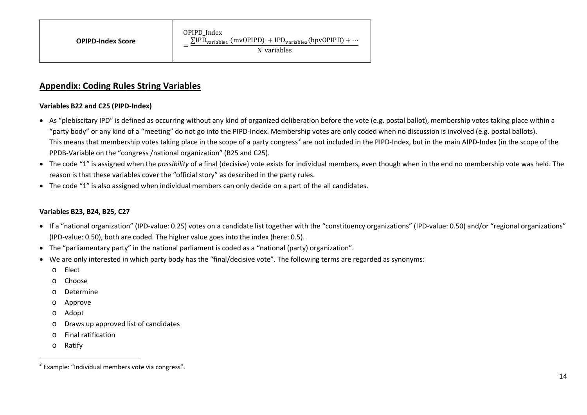## <span id="page-13-0"></span>**Appendix: Coding Rules String Variables**

### **Variables B22 and C25 (PIPD-Index)**

- As "plebiscitary IPD" is defined as occurring without any kind of organized deliberation before the vote (e.g. postal ballot), membership votes taking place within a "party body" or any kind of a "meeting" do not go into the PIPD-Index. Membership votes are only coded when no discussion is involved (e.g. postal ballots). This means that membership votes taking place in the scope of a party congress<sup>[3](#page-13-0)</sup> are not included in the PIPD-Index, but in the main AIPD-Index (in the scope of the PPDB-Variable on the "congress /national organization" (B25 and C25).
- The code "1" is assigned when the *possibility* of a final (decisive) vote exists for individual members, even though when in the end no membership vote was held. The reason is that these variables cover the "official story" as described in the party rules.
- The code "1" is also assigned when individual members can only decide on a part of the all candidates.

### **Variables B23, B24, B25, C27**

- If a "national organization" (IPD-value: 0.25) votes on a candidate list together with the "constituency organizations" (IPD-value: 0.50) and/or "regional organizations" (IPD-value: 0.50), both are coded. The higher value goes into the index (here: 0.5).
- The "parliamentary party" in the national parliament is coded as a "national (party) organization".
- We are only interested in which party body has the "final/decisive vote". The following terms are regarded as synonyms:
	- o Elect
	- o Choose
	- o Determine
	- o Approve
	- o Adopt
	- o Draws up approved list of candidates
	- o Final ratification
	- o Ratify

 <sup>3</sup> Example: "Individual members vote via congress".